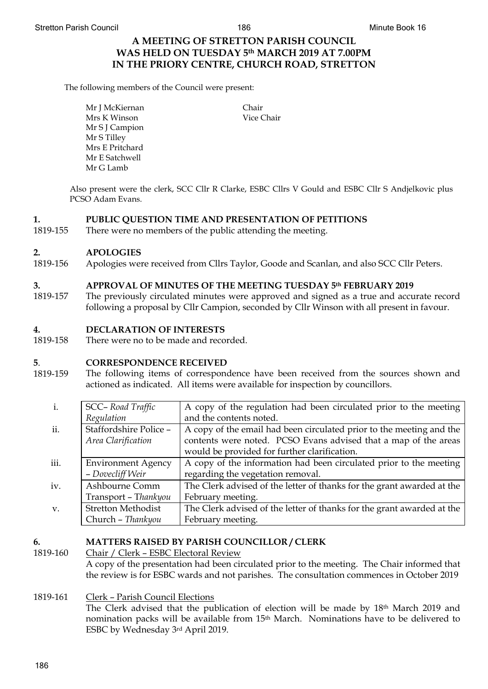## **A MEETING OF STRETTON PARISH COUNCIL WAS HELD ON TUESDAY 5th MARCH 2019 AT 7.00PM IN THE PRIORY CENTRE, CHURCH ROAD, STRETTON**

The following members of the Council were present:

Mr J McKiernan Mrs K Winson Mr S J Campion Mr S Tilley Mrs E Pritchard Mr E Satchwell Mr G Lamb

Chair Vice Chair

Also present were the clerk, SCC Cllr R Clarke, ESBC Cllrs V Gould and ESBC Cllr S Andjelkovic plus PCSO Adam Evans.

### **1. PUBLIC QUESTION TIME AND PRESENTATION OF PETITIONS**

1819-155 There were no members of the public attending the meeting.

#### **2. APOLOGIES**

1819-156 Apologies were received from Cllrs Taylor, Goode and Scanlan, and also SCC Cllr Peters.

### **3. APPROVAL OF MINUTES OF THE MEETING TUESDAY 5th FEBRUARY 2019**

1819-157 The previously circulated minutes were approved and signed as a true and accurate record following a proposal by Cllr Campion, seconded by Cllr Winson with all present in favour.

### **4. DECLARATION OF INTERESTS**

1819-158 There were no to be made and recorded.

### **5**. **CORRESPONDENCE RECEIVED**

1819-159 The following items of correspondence have been received from the sources shown and actioned as indicated. All items were available for inspection by councillors.

| i.          | SCC-Road Traffic          | A copy of the regulation had been circulated prior to the meeting      |
|-------------|---------------------------|------------------------------------------------------------------------|
|             | Regulation                | and the contents noted.                                                |
| ii.         | Staffordshire Police -    | A copy of the email had been circulated prior to the meeting and the   |
|             | Area Clarification        | contents were noted. PCSO Evans advised that a map of the areas        |
|             |                           | would be provided for further clarification.                           |
| iii.        | <b>Environment Agency</b> | A copy of the information had been circulated prior to the meeting     |
|             | - Dovecliff Weir          | regarding the vegetation removal.                                      |
| iv.         | Ashbourne Comm            | The Clerk advised of the letter of thanks for the grant awarded at the |
|             | Transport - Thankyou      | February meeting.                                                      |
| $V_{\cdot}$ | <b>Stretton Methodist</b> | The Clerk advised of the letter of thanks for the grant awarded at the |
|             | Church - Thankyou         | February meeting.                                                      |

# **6. MATTERS RAISED BY PARISH COUNCILLOR / CLERK** 1819-160 Chair / Clerk - ESBC Electoral Review

- Chair / Clerk ESBC Electoral Review A copy of the presentation had been circulated prior to the meeting. The Chair informed that the review is for ESBC wards and not parishes. The consultation commences in October 2019
- 1819-161 Clerk Parish Council Elections The Clerk advised that the publication of election will be made by 18<sup>th</sup> March 2019 and nomination packs will be available from 15th March. Nominations have to be delivered to ESBC by Wednesday 3rd April 2019.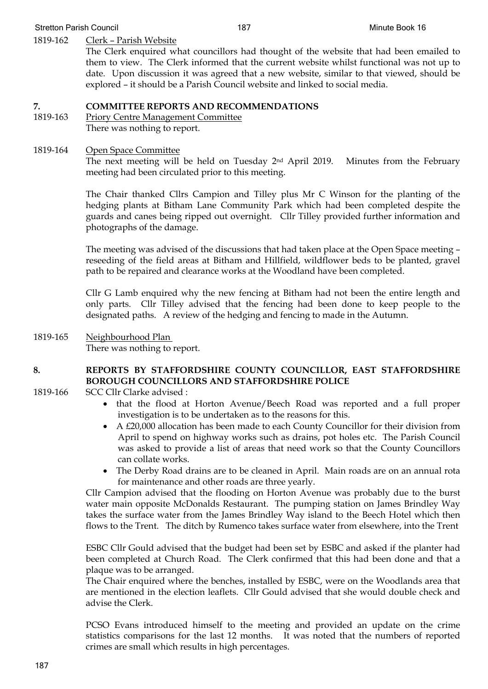## 1819-162 Clerk – Parish Website

The Clerk enquired what councillors had thought of the website that had been emailed to them to view. The Clerk informed that the current website whilst functional was not up to date. Upon discussion it was agreed that a new website, similar to that viewed, should be explored – it should be a Parish Council website and linked to social media.

## **7. COMMITTEE REPORTS AND RECOMMENDATIONS**

1819-163 Priory Centre Management Committee There was nothing to report.

## 1819-164 Open Space Committee

The next meeting will be held on Tuesday 2nd April 2019. Minutes from the February meeting had been circulated prior to this meeting.

The Chair thanked Cllrs Campion and Tilley plus Mr C Winson for the planting of the hedging plants at Bitham Lane Community Park which had been completed despite the guards and canes being ripped out overnight. Cllr Tilley provided further information and photographs of the damage.

The meeting was advised of the discussions that had taken place at the Open Space meeting – reseeding of the field areas at Bitham and Hillfield, wildflower beds to be planted, gravel path to be repaired and clearance works at the Woodland have been completed.

Cllr G Lamb enquired why the new fencing at Bitham had not been the entire length and only parts. Cllr Tilley advised that the fencing had been done to keep people to the designated paths. A review of the hedging and fencing to made in the Autumn.

1819-165 Neighbourhood Plan There was nothing to report.

## **8. REPORTS BY STAFFORDSHIRE COUNTY COUNCILLOR, EAST STAFFORDSHIRE BOROUGH COUNCILLORS AND STAFFORDSHIRE POLICE**

- 1819-166 SCC Cllr Clarke advised :
	- that the flood at Horton Avenue/Beech Road was reported and a full proper investigation is to be undertaken as to the reasons for this.
	- A £20,000 allocation has been made to each County Councillor for their division from April to spend on highway works such as drains, pot holes etc. The Parish Council was asked to provide a list of areas that need work so that the County Councillors can collate works.
	- The Derby Road drains are to be cleaned in April. Main roads are on an annual rota for maintenance and other roads are three yearly.

Cllr Campion advised that the flooding on Horton Avenue was probably due to the burst water main opposite McDonalds Restaurant. The pumping station on James Brindley Way takes the surface water from the James Brindley Way island to the Beech Hotel which then flows to the Trent. The ditch by Rumenco takes surface water from elsewhere, into the Trent

ESBC Cllr Gould advised that the budget had been set by ESBC and asked if the planter had been completed at Church Road. The Clerk confirmed that this had been done and that a plaque was to be arranged.

The Chair enquired where the benches, installed by ESBC, were on the Woodlands area that are mentioned in the election leaflets. Cllr Gould advised that she would double check and advise the Clerk.

PCSO Evans introduced himself to the meeting and provided an update on the crime statistics comparisons for the last 12 months. It was noted that the numbers of reported crimes are small which results in high percentages.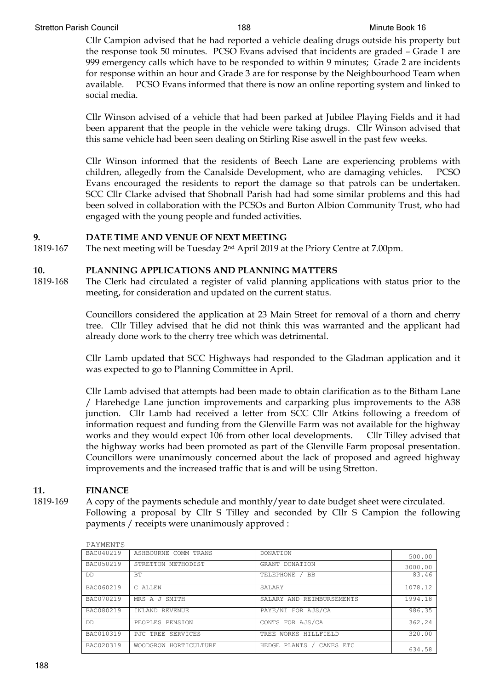Cllr Campion advised that he had reported a vehicle dealing drugs outside his property but the response took 50 minutes. PCSO Evans advised that incidents are graded – Grade 1 are 999 emergency calls which have to be responded to within 9 minutes; Grade 2 are incidents for response within an hour and Grade 3 are for response by the Neighbourhood Team when available. PCSO Evans informed that there is now an online reporting system and linked to social media.

Cllr Winson advised of a vehicle that had been parked at Jubilee Playing Fields and it had been apparent that the people in the vehicle were taking drugs. Cllr Winson advised that this same vehicle had been seen dealing on Stirling Rise aswell in the past few weeks.

Cllr Winson informed that the residents of Beech Lane are experiencing problems with children, allegedly from the Canalside Development, who are damaging vehicles. PCSO Evans encouraged the residents to report the damage so that patrols can be undertaken. SCC Cllr Clarke advised that Shobnall Parish had had some similar problems and this had been solved in collaboration with the PCSOs and Burton Albion Community Trust, who had engaged with the young people and funded activities.

## **9. DATE TIME AND VENUE OF NEXT MEETING**

1819-167 The next meeting will be Tuesday 2nd April 2019 at the Priory Centre at 7.00pm.

## **10. PLANNING APPLICATIONS AND PLANNING MATTERS**

1819-168 The Clerk had circulated a register of valid planning applications with status prior to the meeting, for consideration and updated on the current status.

> Councillors considered the application at 23 Main Street for removal of a thorn and cherry tree. Cllr Tilley advised that he did not think this was warranted and the applicant had already done work to the cherry tree which was detrimental.

> Cllr Lamb updated that SCC Highways had responded to the Gladman application and it was expected to go to Planning Committee in April.

> Cllr Lamb advised that attempts had been made to obtain clarification as to the Bitham Lane / Harehedge Lane junction improvements and carparking plus improvements to the A38 junction. Cllr Lamb had received a letter from SCC Cllr Atkins following a freedom of information request and funding from the Glenville Farm was not available for the highway works and they would expect 106 from other local developments. Cllr Tilley advised that the highway works had been promoted as part of the Glenville Farm proposal presentation. Councillors were unanimously concerned about the lack of proposed and agreed highway improvements and the increased traffic that is and will be using Stretton.

## **11. FINANCE**

1819-169 A copy of the payments schedule and monthly/year to date budget sheet were circulated. Following a proposal by Cllr S Tilley and seconded by Cllr S Campion the following payments / receipts were unanimously approved :

| TITTILIN T |                       |                           |         |
|------------|-----------------------|---------------------------|---------|
| BAC040219  | ASHBOURNE COMM TRANS  | <b>DONATION</b>           | 500.00  |
| BAC050219  | STRETTON METHODIST    | GRANT DONATION            | 3000.00 |
| DD         | BT.                   | TELEPHONE<br><b>BB</b>    | 83.46   |
| BAC060219  | C ALLEN               | <b>SALARY</b>             | 1078.12 |
| BAC070219  | MRS A J SMTTH         | SALARY AND REIMBURSEMENTS | 1994.18 |
| BAC080219  | INLAND REVENUE        | PAYE/NI FOR AJS/CA        | 986.35  |
| DD.        | PEOPLES PENSION       | CONTS FOR AJS/CA          | 362.24  |
| BAC010319  | PJC TREE SERVICES     | TREE WORKS HILLFIELD      | 320.00  |
| BAC020319  | WOODGROW HORTICULTURE | HEDGE PLANTS<br>CANES ETC | 634.58  |

PAYMENTS